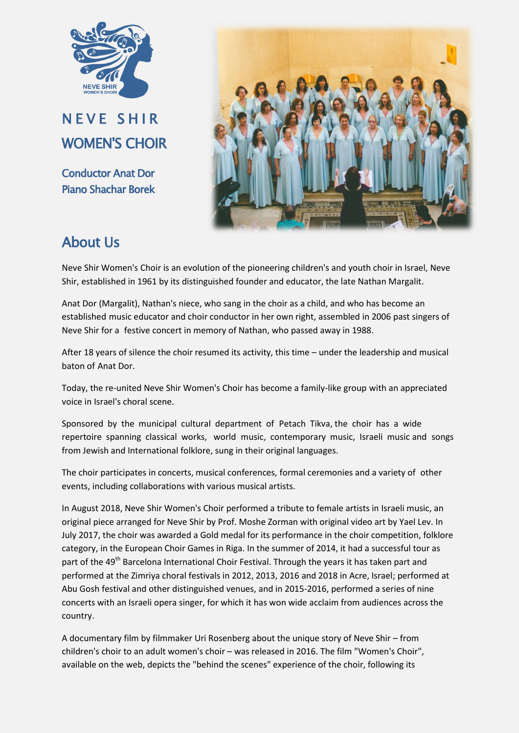

NEVE SHIR WOMEN'S CHOIR

Conductor Anat Dor Piano Shachar Borek



## About Us

Neve Shir Women's Choir is an evolution of the pioneering children's and youth choir in Israel, Neve Shir, established in 1961 by its distinguished founder and educator, the late Nathan Margalit.

Anat Dor (Margalit), Nathan's niece, who sang in the choir as a child, and who has become an established music educator and choir conductor in her own right, assembled in 2006 past singers of Neve Shir for a festive concert in memory of Nathan, who passed away in 1988.

After 18 years of silence the choir resumed its activity, this time – under the leadership and musical baton of Anat Dor.

Today, the re-united Neve Shir Women's Choir has become a family-like group with an appreciated voice in Israel's choral scene.

Sponsored by the municipal cultural department of Petach Tikva, the choir has a wide repertoire spanning classical works, world music, contemporary music, Israeli music and songs from Jewish and International folklore, sung in their original languages.

The choir participates in concerts, musical conferences, formal ceremonies and a variety of other events, including collaborations with various musical artists.

In August 2018, Neve Shir Women's Choir performed a tribute to female artists in Israeli music, an original piece arranged for Neve Shir by Prof. Moshe Zorman with original video art by Yael Lev. In July 2017, the choir was awarded a Gold medal for its performance in the choir competition, folklore category, in the European Choir Games in Riga. In the summer of 2014, it had a successful tour as part of the 49<sup>th</sup> Barcelona International Choir Festival. Through the years it has taken part and performed at the Zimriya choral festivals in 2012, 2013, 2016 and 2018 in Acre, Israel; performed at Abu Gosh festival and other distinguished venues, and in 2015-2016, performed a series of nine concerts with an Israeli opera singer, for which it has won wide acclaim from audiences across the country.

A documentary film by filmmaker Uri Rosenberg about the unique story of Neve Shir – from children's choir to an adult women's choir – was released in 2016. The film "Women's Choir", available on the web, depicts the "behind the scenes" experience of the choir, following its